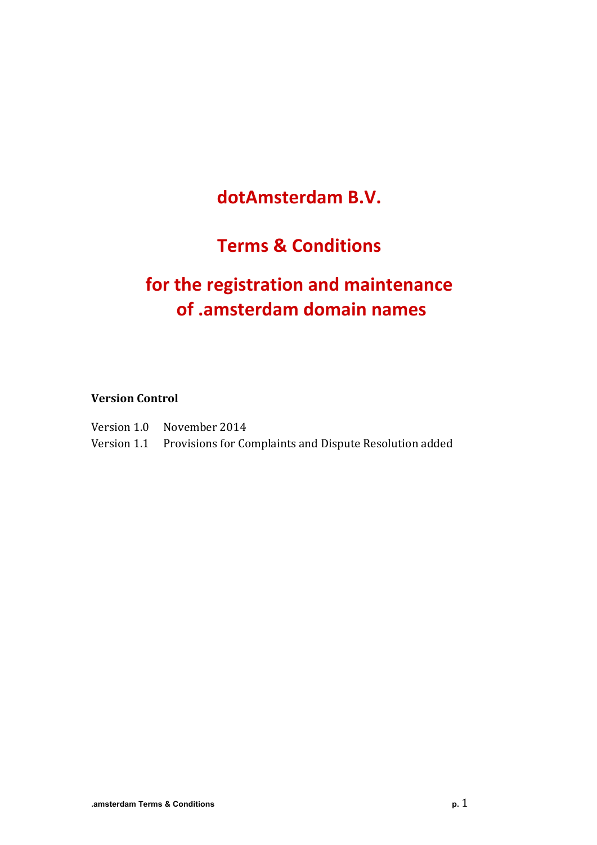# **dotAmsterdam B.V.**

# **Terms & Conditions**

# for the registration and maintenance **of .amsterdam domain names**

**Version Control**

Version 1.0 November 2014 Version 1.1 Provisions for Complaints and Dispute Resolution added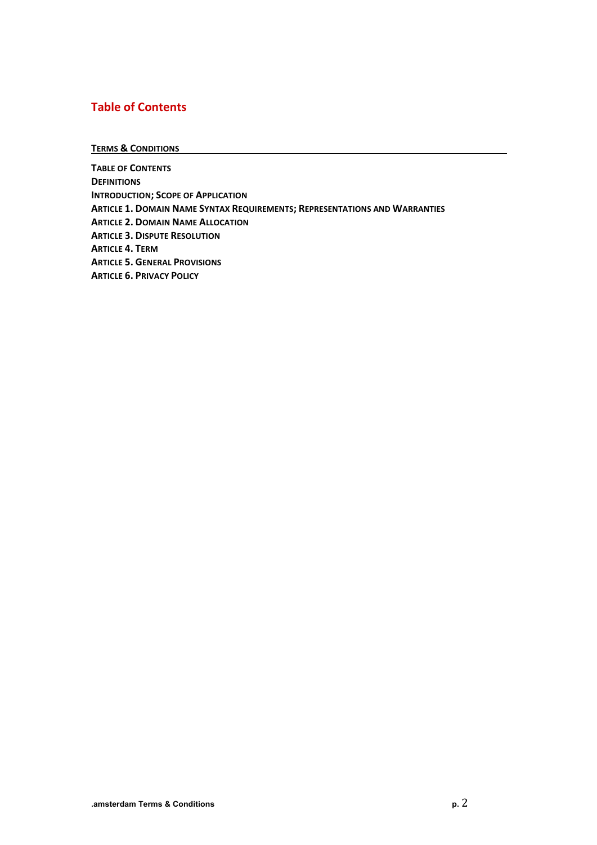## **Table of Contents**

**TERMS & CONDITIONS**

**TABLE OF CONTENTS DEFINITIONS INTRODUCTION; SCOPE OF APPLICATION ARTICLE 1. DOMAIN NAME SYNTAX REQUIREMENTS; REPRESENTATIONS AND WARRANTIES ARTICLE 2. DOMAIN NAME ALLOCATION ARTICLE 3. DISPUTE RESOLUTION ARTICLE 4. TERM ARTICLE 5. GENERAL PROVISIONS ARTICLE 6. PRIVACY POLICY**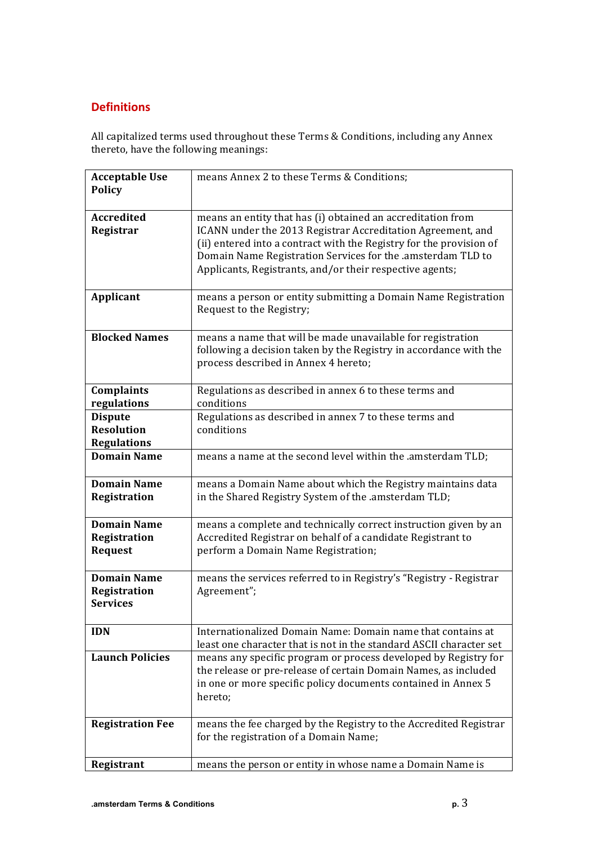## **Definitions**

All capitalized terms used throughout these Terms & Conditions, including any Annex thereto, have the following meanings:

| <b>Acceptable Use</b>                                     | means Annex 2 to these Terms & Conditions;                                                                                                                                                                                                                                                                                   |
|-----------------------------------------------------------|------------------------------------------------------------------------------------------------------------------------------------------------------------------------------------------------------------------------------------------------------------------------------------------------------------------------------|
| <b>Policy</b>                                             |                                                                                                                                                                                                                                                                                                                              |
| <b>Accredited</b><br>Registrar                            | means an entity that has (i) obtained an accreditation from<br>ICANN under the 2013 Registrar Accreditation Agreement, and<br>(ii) entered into a contract with the Registry for the provision of<br>Domain Name Registration Services for the .amsterdam TLD to<br>Applicants, Registrants, and/or their respective agents; |
| Applicant                                                 | means a person or entity submitting a Domain Name Registration<br>Request to the Registry;                                                                                                                                                                                                                                   |
| <b>Blocked Names</b>                                      | means a name that will be made unavailable for registration<br>following a decision taken by the Registry in accordance with the<br>process described in Annex 4 hereto;                                                                                                                                                     |
| Complaints<br>regulations                                 | Regulations as described in annex 6 to these terms and<br>conditions                                                                                                                                                                                                                                                         |
| <b>Dispute</b><br><b>Resolution</b><br><b>Regulations</b> | Regulations as described in annex 7 to these terms and<br>conditions                                                                                                                                                                                                                                                         |
| <b>Domain Name</b>                                        | means a name at the second level within the .amsterdam TLD;                                                                                                                                                                                                                                                                  |
| <b>Domain Name</b><br>Registration                        | means a Domain Name about which the Registry maintains data<br>in the Shared Registry System of the .amsterdam TLD;                                                                                                                                                                                                          |
| <b>Domain Name</b><br>Registration<br><b>Request</b>      | means a complete and technically correct instruction given by an<br>Accredited Registrar on behalf of a candidate Registrant to<br>perform a Domain Name Registration;                                                                                                                                                       |
| <b>Domain Name</b><br>Registration<br><b>Services</b>     | means the services referred to in Registry's "Registry - Registrar<br>Agreement";                                                                                                                                                                                                                                            |
| <b>IDN</b>                                                | Internationalized Domain Name: Domain name that contains at<br>least one character that is not in the standard ASCII character set                                                                                                                                                                                           |
| <b>Launch Policies</b>                                    | means any specific program or process developed by Registry for<br>the release or pre-release of certain Domain Names, as included<br>in one or more specific policy documents contained in Annex 5<br>hereto;                                                                                                               |
| <b>Registration Fee</b>                                   | means the fee charged by the Registry to the Accredited Registrar<br>for the registration of a Domain Name;                                                                                                                                                                                                                  |
| Registrant                                                | means the person or entity in whose name a Domain Name is                                                                                                                                                                                                                                                                    |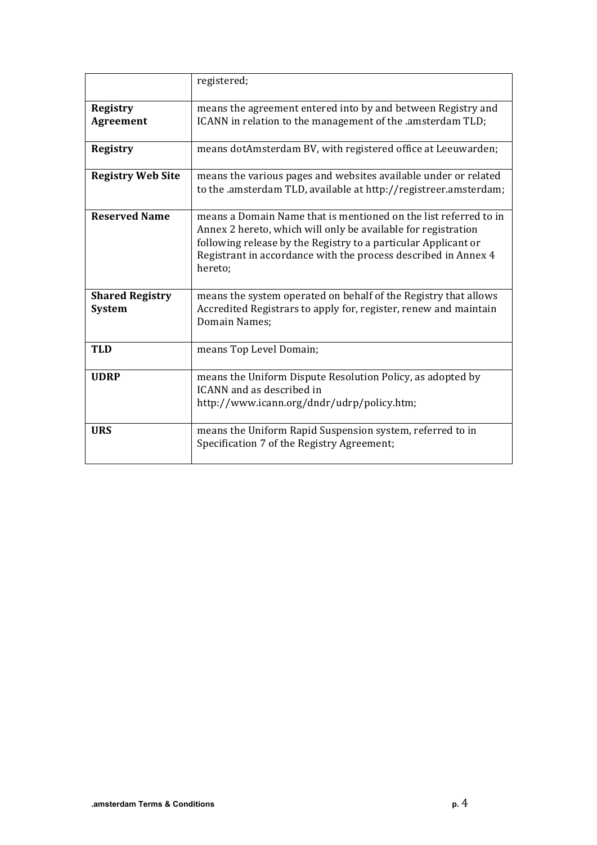|                                         | registered;                                                                                                                                                                                                                                                                      |
|-----------------------------------------|----------------------------------------------------------------------------------------------------------------------------------------------------------------------------------------------------------------------------------------------------------------------------------|
| <b>Registry</b><br><b>Agreement</b>     | means the agreement entered into by and between Registry and<br>ICANN in relation to the management of the .amsterdam TLD;                                                                                                                                                       |
| <b>Registry</b>                         | means dotAmsterdam BV, with registered office at Leeuwarden;                                                                                                                                                                                                                     |
| <b>Registry Web Site</b>                | means the various pages and websites available under or related<br>to the amsterdam TLD, available at http://registreer.amsterdam;                                                                                                                                               |
| <b>Reserved Name</b>                    | means a Domain Name that is mentioned on the list referred to in<br>Annex 2 hereto, which will only be available for registration<br>following release by the Registry to a particular Applicant or<br>Registrant in accordance with the process described in Annex 4<br>hereto; |
| <b>Shared Registry</b><br><b>System</b> | means the system operated on behalf of the Registry that allows<br>Accredited Registrars to apply for, register, renew and maintain<br>Domain Names:                                                                                                                             |
| <b>TLD</b>                              | means Top Level Domain;                                                                                                                                                                                                                                                          |
| <b>UDRP</b>                             | means the Uniform Dispute Resolution Policy, as adopted by<br>ICANN and as described in<br>http://www.icann.org/dndr/udrp/policy.htm;                                                                                                                                            |
| <b>URS</b>                              | means the Uniform Rapid Suspension system, referred to in<br>Specification 7 of the Registry Agreement;                                                                                                                                                                          |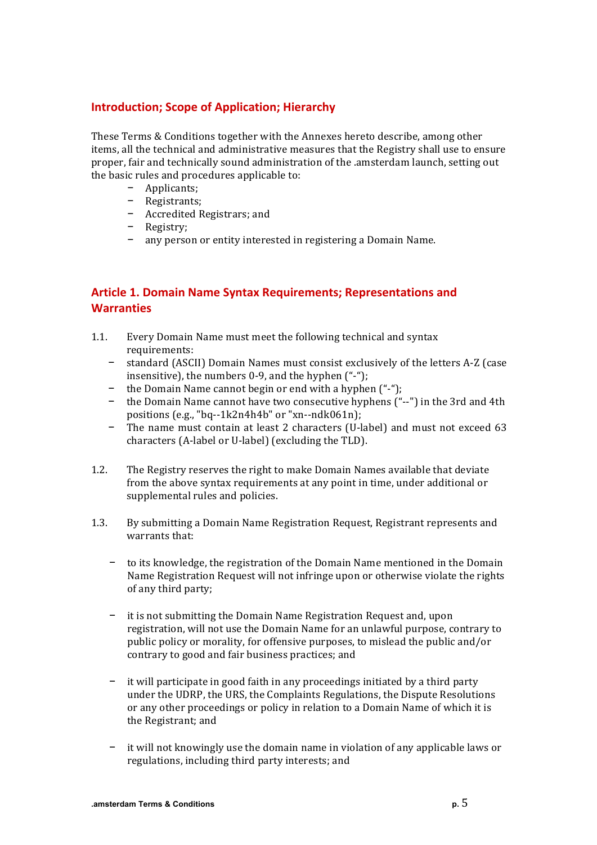#### **Introduction: Scope of Application; Hierarchy**

These Terms & Conditions together with the Annexes hereto describe, among other items, all the technical and administrative measures that the Registry shall use to ensure proper, fair and technically sound administration of the .amsterdam launch, setting out the basic rules and procedures applicable to:

- − Applicants;
- − Registrants;
- − Accredited Registrars; and
- − Registry;
- − any person or entity interested in registering a Domain Name.

#### **Article 1. Domain Name Syntax Requirements; Representations and Warranties**

- 1.1. Every Domain Name must meet the following technical and syntax requirements:
	- − standard (ASCII) Domain Names must consist exclusively of the letters A-Z (case insensitive), the numbers  $0-9$ , and the hyphen  $("$ -");
	- − the Domain Name cannot begin or end with a hyphen ("-");
	- − the Domain Name cannot have two consecutive hyphens ("--") in the 3rd and 4th positions  $(e.g., "bq-1k2n4h4b"$  or "xn--ndk061n);
	- − The name must contain at least 2 characters (U-label) and must not exceed 63 characters (A-label or U-label) (excluding the TLD).
- 1.2. The Registry reserves the right to make Domain Names available that deviate from the above syntax requirements at any point in time, under additional or supplemental rules and policies.
- 1.3. By submitting a Domain Name Registration Request, Registrant represents and warrants that:
	- − to its knowledge, the registration of the Domain Name mentioned in the Domain Name Registration Request will not infringe upon or otherwise violate the rights of any third party;
	- − it is not submitting the Domain Name Registration Request and, upon registration, will not use the Domain Name for an unlawful purpose, contrary to public policy or morality, for offensive purposes, to mislead the public and/or contrary to good and fair business practices; and
	- it will participate in good faith in any proceedings initiated by a third party under the UDRP, the URS, the Complaints Regulations, the Dispute Resolutions or any other proceedings or policy in relation to a Domain Name of which it is the Registrant: and
	- − it will not knowingly use the domain name in violation of any applicable laws or regulations, including third party interests; and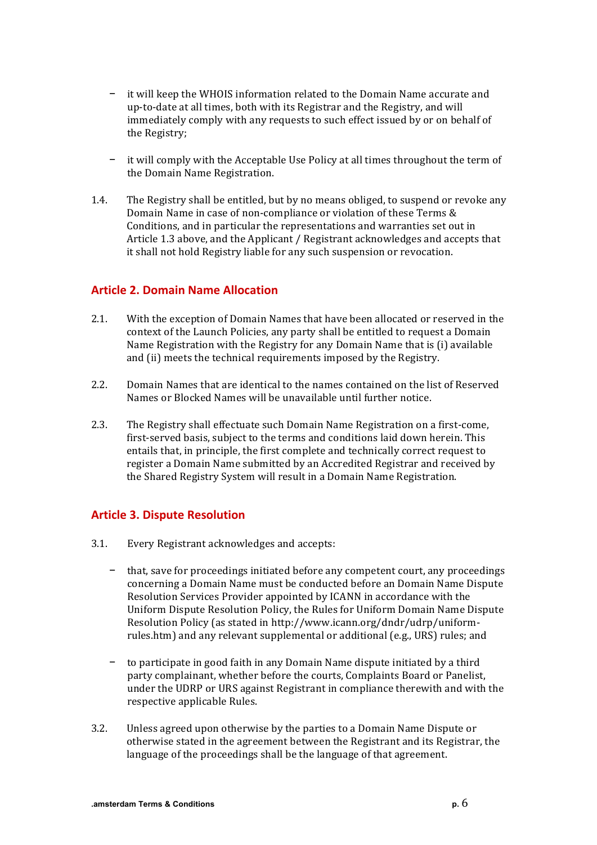- − it will keep the WHOIS information related to the Domain Name accurate and up-to-date at all times, both with its Registrar and the Registry, and will immediately comply with any requests to such effect issued by or on behalf of the Registry;
- it will comply with the Acceptable Use Policy at all times throughout the term of the Domain Name Registration.
- 1.4. The Registry shall be entitled, but by no means obliged, to suspend or revoke any Domain Name in case of non-compliance or violation of these Terms & Conditions, and in particular the representations and warranties set out in Article 1.3 above, and the Applicant / Registrant acknowledges and accepts that it shall not hold Registry liable for any such suspension or revocation.

#### **Article 2. Domain Name Allocation**

- 2.1. With the exception of Domain Names that have been allocated or reserved in the context of the Launch Policies, any party shall be entitled to request a Domain Name Registration with the Registry for any Domain Name that is (i) available and (ii) meets the technical requirements imposed by the Registry.
- 2.2. Domain Names that are identical to the names contained on the list of Reserved Names or Blocked Names will be unavailable until further notice.
- 2.3. The Registry shall effectuate such Domain Name Registration on a first-come, first-served basis, subject to the terms and conditions laid down herein. This entails that, in principle, the first complete and technically correct request to register a Domain Name submitted by an Accredited Registrar and received by the Shared Registry System will result in a Domain Name Registration.

#### **Article 3. Dispute Resolution**

- 3.1. Every Registrant acknowledges and accepts:
	- − that, save for proceedings initiated before any competent court, any proceedings concerning a Domain Name must be conducted before an Domain Name Dispute Resolution Services Provider appointed by ICANN in accordance with the Uniform Dispute Resolution Policy, the Rules for Uniform Domain Name Dispute Resolution Policy (as stated in http://www.icann.org/dndr/udrp/uniformrules.htm) and any relevant supplemental or additional (e.g., URS) rules; and
	- to participate in good faith in any Domain Name dispute initiated by a third party complainant, whether before the courts, Complaints Board or Panelist, under the UDRP or URS against Registrant in compliance therewith and with the respective applicable Rules.
- 3.2. Unless agreed upon otherwise by the parties to a Domain Name Dispute or otherwise stated in the agreement between the Registrant and its Registrar, the language of the proceedings shall be the language of that agreement.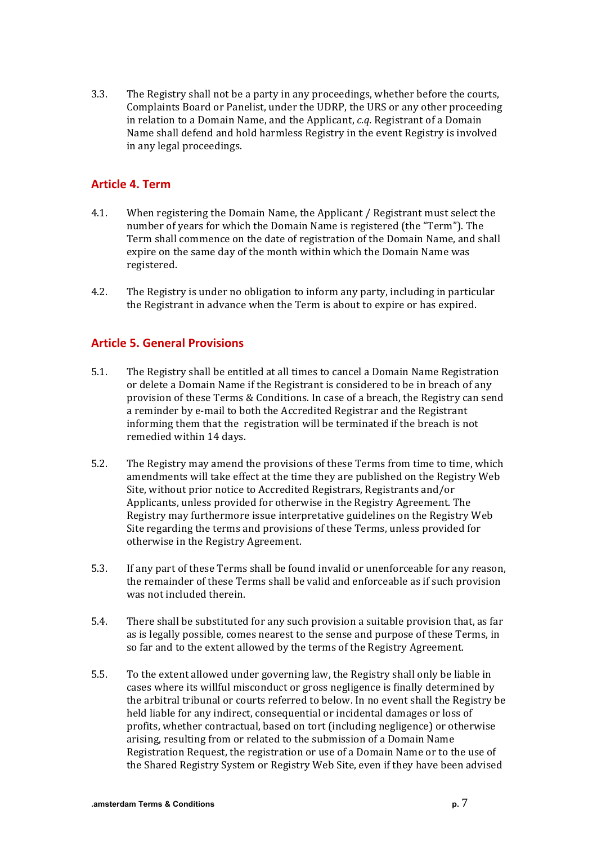3.3. The Registry shall not be a party in any proceedings, whether before the courts, Complaints Board or Panelist, under the UDRP, the URS or any other proceeding in relation to a Domain Name, and the Applicant, *c.q.* Registrant of a Domain Name shall defend and hold harmless Registry in the event Registry is involved in any legal proceedings.

#### **Article 4. Term**

- 4.1. When registering the Domain Name, the Applicant / Registrant must select the number of years for which the Domain Name is registered (the "Term"). The Term shall commence on the date of registration of the Domain Name, and shall expire on the same day of the month within which the Domain Name was registered.
- 4.2. The Registry is under no obligation to inform any party, including in particular the Registrant in advance when the Term is about to expire or has expired.

#### **Article 5. General Provisions**

- 5.1. The Registry shall be entitled at all times to cancel a Domain Name Registration or delete a Domain Name if the Registrant is considered to be in breach of any provision of these Terms & Conditions. In case of a breach, the Registry can send a reminder by e-mail to both the Accredited Registrar and the Registrant informing them that the registration will be terminated if the breach is not remedied within 14 days.
- 5.2. The Registry may amend the provisions of these Terms from time to time, which amendments will take effect at the time they are published on the Registry Web Site, without prior notice to Accredited Registrars, Registrants and/or Applicants, unless provided for otherwise in the Registry Agreement. The Registry may furthermore issue interpretative guidelines on the Registry Web Site regarding the terms and provisions of these Terms, unless provided for otherwise in the Registry Agreement.
- 5.3. If any part of these Terms shall be found invalid or unenforceable for any reason, the remainder of these Terms shall be valid and enforceable as if such provision was not included therein.
- 5.4. There shall be substituted for any such provision a suitable provision that, as far as is legally possible, comes nearest to the sense and purpose of these Terms, in so far and to the extent allowed by the terms of the Registry Agreement.
- 5.5. To the extent allowed under governing law, the Registry shall only be liable in cases where its willful misconduct or gross negligence is finally determined by the arbitral tribunal or courts referred to below. In no event shall the Registry be held liable for any indirect, consequential or incidental damages or loss of profits, whether contractual, based on tort (including negligence) or otherwise arising, resulting from or related to the submission of a Domain Name Registration Request, the registration or use of a Domain Name or to the use of the Shared Registry System or Registry Web Site, even if they have been advised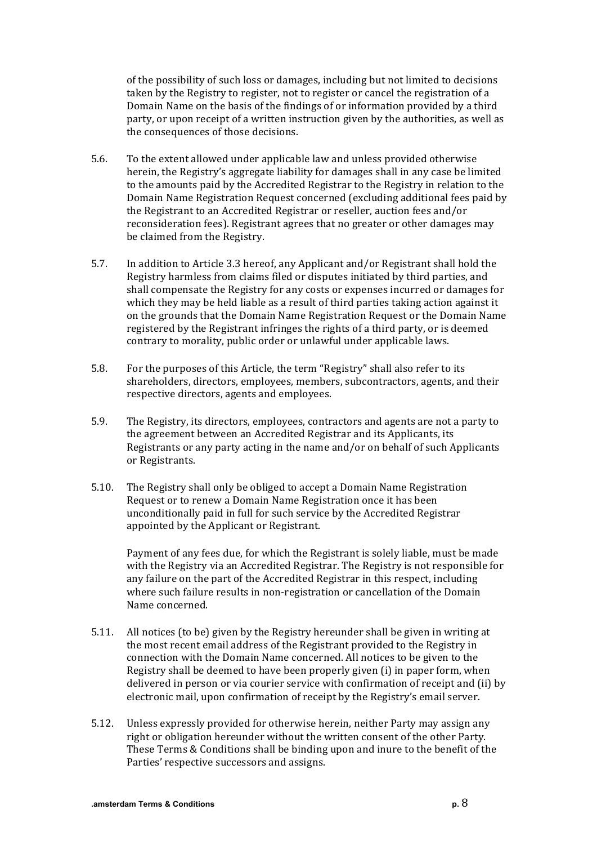of the possibility of such loss or damages, including but not limited to decisions taken by the Registry to register, not to register or cancel the registration of a Domain Name on the basis of the findings of or information provided by a third party, or upon receipt of a written instruction given by the authorities, as well as the consequences of those decisions.

- 5.6. To the extent allowed under applicable law and unless provided otherwise herein, the Registry's aggregate liability for damages shall in any case be limited to the amounts paid by the Accredited Registrar to the Registry in relation to the Domain Name Registration Request concerned (excluding additional fees paid by the Registrant to an Accredited Registrar or reseller, auction fees and/or reconsideration fees). Registrant agrees that no greater or other damages may be claimed from the Registry.
- 5.7. In addition to Article 3.3 hereof, any Applicant and/or Registrant shall hold the Registry harmless from claims filed or disputes initiated by third parties, and shall compensate the Registry for any costs or expenses incurred or damages for which they may be held liable as a result of third parties taking action against it on the grounds that the Domain Name Registration Request or the Domain Name registered by the Registrant infringes the rights of a third party, or is deemed contrary to morality, public order or unlawful under applicable laws.
- 5.8. For the purposes of this Article, the term "Registry" shall also refer to its shareholders, directors, employees, members, subcontractors, agents, and their respective directors, agents and employees.
- 5.9. The Registry, its directors, employees, contractors and agents are not a party to the agreement between an Accredited Registrar and its Applicants, its Registrants or any party acting in the name and/or on behalf of such Applicants or Registrants.
- 5.10. The Registry shall only be obliged to accept a Domain Name Registration Request or to renew a Domain Name Registration once it has been unconditionally paid in full for such service by the Accredited Registrar appointed by the Applicant or Registrant.

Payment of any fees due, for which the Registrant is solely liable, must be made with the Registry via an Accredited Registrar. The Registry is not responsible for any failure on the part of the Accredited Registrar in this respect, including where such failure results in non-registration or cancellation of the Domain Name concerned.

- 5.11. All notices (to be) given by the Registry hereunder shall be given in writing at the most recent email address of the Registrant provided to the Registry in connection with the Domain Name concerned. All notices to be given to the Registry shall be deemed to have been properly given (i) in paper form, when delivered in person or via courier service with confirmation of receipt and (ii) by electronic mail, upon confirmation of receipt by the Registry's email server.
- 5.12. Unless expressly provided for otherwise herein, neither Party may assign any right or obligation hereunder without the written consent of the other Party. These Terms & Conditions shall be binding upon and inure to the benefit of the Parties' respective successors and assigns.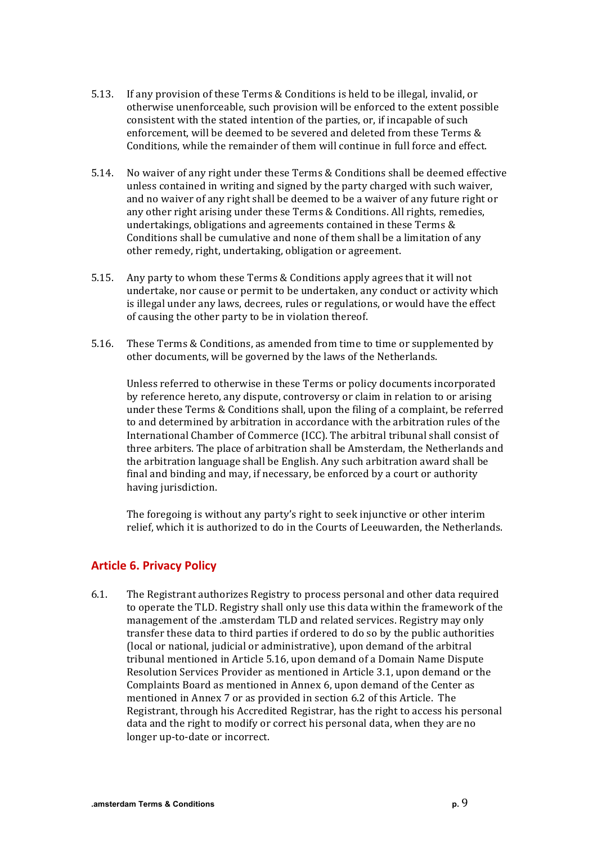- 5.13. If any provision of these Terms & Conditions is held to be illegal, invalid, or otherwise unenforceable, such provision will be enforced to the extent possible consistent with the stated intention of the parties, or, if incapable of such enforcement, will be deemed to be severed and deleted from these Terms & Conditions, while the remainder of them will continue in full force and effect.
- 5.14. No waiver of any right under these Terms & Conditions shall be deemed effective unless contained in writing and signed by the party charged with such waiver, and no waiver of any right shall be deemed to be a waiver of any future right or any other right arising under these Terms & Conditions. All rights, remedies, undertakings, obligations and agreements contained in these Terms  $&$ Conditions shall be cumulative and none of them shall be a limitation of any other remedy, right, undertaking, obligation or agreement.
- 5.15. Any party to whom these Terms & Conditions apply agrees that it will not undertake, nor cause or permit to be undertaken, any conduct or activity which is illegal under any laws, decrees, rules or regulations, or would have the effect of causing the other party to be in violation thereof.
- 5.16. These Terms & Conditions, as amended from time to time or supplemented by other documents, will be governed by the laws of the Netherlands.

Unless referred to otherwise in these Terms or policy documents incorporated by reference hereto, any dispute, controversy or claim in relation to or arising under these Terms & Conditions shall, upon the filing of a complaint, be referred to and determined by arbitration in accordance with the arbitration rules of the International Chamber of Commerce (ICC). The arbitral tribunal shall consist of three arbiters. The place of arbitration shall be Amsterdam, the Netherlands and the arbitration language shall be English. Any such arbitration award shall be final and binding and may, if necessary, be enforced by a court or authority having jurisdiction.

The foregoing is without any party's right to seek injunctive or other interim relief, which it is authorized to do in the Courts of Leeuwarden, the Netherlands.

#### **Article 6. Privacy Policy**

6.1. The Registrant authorizes Registry to process personal and other data required to operate the TLD. Registry shall only use this data within the framework of the management of the .amsterdam TLD and related services. Registry may only transfer these data to third parties if ordered to do so by the public authorities (local or national, judicial or administrative), upon demand of the arbitral tribunal mentioned in Article 5.16, upon demand of a Domain Name Dispute Resolution Services Provider as mentioned in Article 3.1, upon demand or the Complaints Board as mentioned in Annex 6, upon demand of the Center as mentioned in Annex 7 or as provided in section 6.2 of this Article. The Registrant, through his Accredited Registrar, has the right to access his personal data and the right to modify or correct his personal data, when they are no longer up-to-date or incorrect.